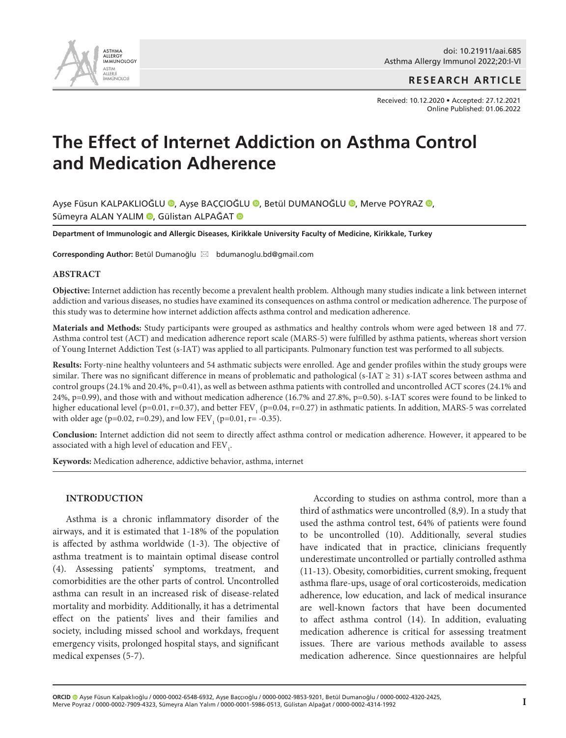

**RESEARCH ARTICLE**

Received: 10.12.2020 • Accepted: 27.12.2021 Online Published: 01.06.2022

# **The Effect of Internet Addiction on Asthma Control and Medication Adherence**

Ayşe Füsun KALPAKLIOĞLU ([,](http://orcid.org/0000-0002-7909-4323) Ayşe BAÇÇIOĞLU (, Betül DUMANOĞLU (, Merve POYRAZ (, Sümeyra ALAN YALIM (D[,](http://orcid.org/0000-0001-5986-0513) Gülistan ALPAĞAT (D)

**Department of Immunologic and Allergic Diseases, Kirikkale University Faculty of Medicine, Kirikkale, Turkey** 

Corresponding Author: Betül Dumanoğlu ⊠ bdumanoglu.bd@gmail.com

#### **ABSTRACT**

**Objective:** Internet addiction has recently become a prevalent health problem. Although many studies indicate a link between internet addiction and various diseases, no studies have examined its consequences on asthma control or medication adherence. The purpose of this study was to determine how internet addiction affects asthma control and medication adherence.

**Materials and Methods:** Study participants were grouped as asthmatics and healthy controls whom were aged between 18 and 77. Asthma control test (ACT) and medication adherence report scale (MARS-5) were fulfilled by asthma patients, whereas short version of Young Internet Addiction Test (s-IAT) was applied to all participants. Pulmonary function test was performed to all subjects.

**Results:** Forty-nine healthy volunteers and 54 asthmatic subjects were enrolled. Age and gender profiles within the study groups were similar. There was no significant difference in means of problematic and pathological (s-IAT  $\geq$  31) s-IAT scores between asthma and control groups (24.1% and 20.4%, p=0.41), as well as between asthma patients with controlled and uncontrolled ACT scores (24.1% and 24%, p=0.99), and those with and without medication adherence (16.7% and 27.8%, p=0.50). s-IAT scores were found to be linked to higher educational level (p=0.01, r=0.37), and better FEV<sub>1</sub> (p=0.04, r=0.27) in asthmatic patients. In addition, MARS-5 was correlated with older age (p=0.02, r=0.29), and low  $FEV_1$  (p=0.01, r= -0.35).

**Conclusion:** Internet addiction did not seem to directly affect asthma control or medication adherence. However, it appeared to be associated with a high level of education and  $\rm{FEV}_{_1}.$ 

**Keywords:** Medication adherence, addictive behavior, asthma, internet

#### **INTRODUCTION**

Asthma is a chronic inflammatory disorder of the airways, and it is estimated that 1-18% of the population is affected by asthma worldwide (1-3). The objective of asthma treatment is to maintain optimal disease control (4). Assessing patients' symptoms, treatment, and comorbidities are the other parts of control. Uncontrolled asthma can result in an increased risk of disease-related mortality and morbidity. Additionally, it has a detrimental effect on the patients' lives and their families and society, including missed school and workdays, frequent emergency visits, prolonged hospital stays, and significant medical expenses (5-7).

According to studies on asthma control, more than a third of asthmatics were uncontrolled (8,9). In a study that used the asthma control test, 64% of patients were found to be uncontrolled (10). Additionally, several studies have indicated that in practice, clinicians frequently underestimate uncontrolled or partially controlled asthma (11-13). Obesity, comorbidities, current smoking, frequent asthma flare-ups, usage of oral corticosteroids, medication adherence, low education, and lack of medical insurance are well-known factors that have been documented to affect asthma control (14). In addition, evaluating medication adherence is critical for assessing treatment issues. There are various methods available to assess medication adherence. Since questionnaires are helpful

**ORCID** Ayşe Füsun Kalpaklıoğlu / 0000-0002-6548-6932, Ayşe Baççıoğlu / 0000-0002-9853-9201, Betül Dumanoğlu / 0000-0002-4320-2425, Merve Poyraz / 0000-0002-7909-4323, Sümeyra Alan Yalım / 0000-0001-5986-0513, Gülistan Alpağat / 0000-0002-4314-1992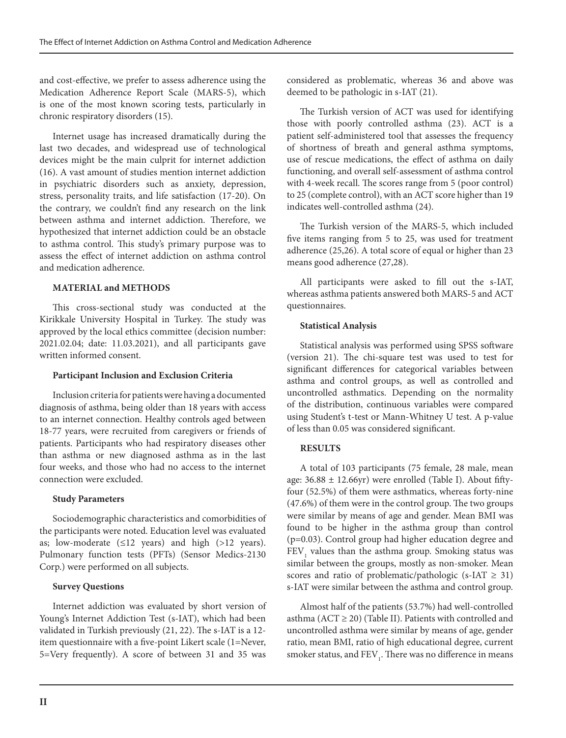and cost-effective, we prefer to assess adherence using the Medication Adherence Report Scale (MARS-5), which is one of the most known scoring tests, particularly in chronic respiratory disorders (15).

Internet usage has increased dramatically during the last two decades, and widespread use of technological devices might be the main culprit for internet addiction (16). A vast amount of studies mention internet addiction in psychiatric disorders such as anxiety, depression, stress, personality traits, and life satisfaction (17-20). On the contrary, we couldn't find any research on the link between asthma and internet addiction. Therefore, we hypothesized that internet addiction could be an obstacle to asthma control. This study's primary purpose was to assess the effect of internet addiction on asthma control and medication adherence.

## **MATERIAL and METHODS**

This cross-sectional study was conducted at the Kirikkale University Hospital in Turkey. The study was approved by the local ethics committee (decision number: 2021.02.04; date: 11.03.2021), and all participants gave written informed consent.

# **Participant Inclusion and Exclusion Criteria**

Inclusion criteria for patients were having a documented diagnosis of asthma, being older than 18 years with access to an internet connection. Healthy controls aged between 18-77 years, were recruited from caregivers or friends of patients. Participants who had respiratory diseases other than asthma or new diagnosed asthma as in the last four weeks, and those who had no access to the internet connection were excluded.

# **Study Parameters**

Sociodemographic characteristics and comorbidities of the participants were noted. Education level was evaluated as; low-moderate  $(\leq 12$  years) and high  $(>12$  years). Pulmonary function tests (PFTs) (Sensor Medics-2130 Corp.) were performed on all subjects.

# **Survey Questions**

Internet addiction was evaluated by short version of Young's Internet Addiction Test (s-IAT), which had been validated in Turkish previously (21, 22). The s-IAT is a 12 item questionnaire with a five-point Likert scale (1=Never, 5=Very frequently). A score of between 31 and 35 was

considered as problematic, whereas 36 and above was deemed to be pathologic in s-IAT (21).

The Turkish version of ACT was used for identifying those with poorly controlled asthma (23). ACT is a patient self-administered tool that assesses the frequency of shortness of breath and general asthma symptoms, use of rescue medications, the effect of asthma on daily functioning, and overall self-assessment of asthma control with 4-week recall. The scores range from 5 (poor control) to 25 (complete control), with an ACT score higher than 19 indicates well-controlled asthma (24).

The Turkish version of the MARS-5, which included five items ranging from 5 to 25, was used for treatment adherence (25,26). A total score of equal or higher than 23 means good adherence (27,28).

All participants were asked to fill out the s-IAT, whereas asthma patients answered both MARS-5 and ACT questionnaires.

# **Statistical Analysis**

Statistical analysis was performed using SPSS software (version 21). The chi-square test was used to test for significant differences for categorical variables between asthma and control groups, as well as controlled and uncontrolled asthmatics. Depending on the normality of the distribution, continuous variables were compared using Student's t-test or Mann-Whitney U test. A p-value of less than 0.05 was considered significant.

# **RESULTS**

A total of 103 participants (75 female, 28 male, mean age:  $36.88 \pm 12.66$ yr) were enrolled (Table I). About fiftyfour (52.5%) of them were asthmatics, whereas forty-nine (47.6%) of them were in the control group. The two groups were similar by means of age and gender. Mean BMI was found to be higher in the asthma group than control (p=0.03). Control group had higher education degree and  $\rm{FEV}_{1}$  values than the asthma group. Smoking status was similar between the groups, mostly as non-smoker. Mean scores and ratio of problematic/pathologic (s-IAT  $\geq$  31) s-IAT were similar between the asthma and control group.

Almost half of the patients (53.7%) had well-controlled asthma ( $ACT \geq 20$ ) (Table II). Patients with controlled and uncontrolled asthma were similar by means of age, gender ratio, mean BMI, ratio of high educational degree, current smoker status, and  $\mathrm{FEV}_1$ . There was no difference in means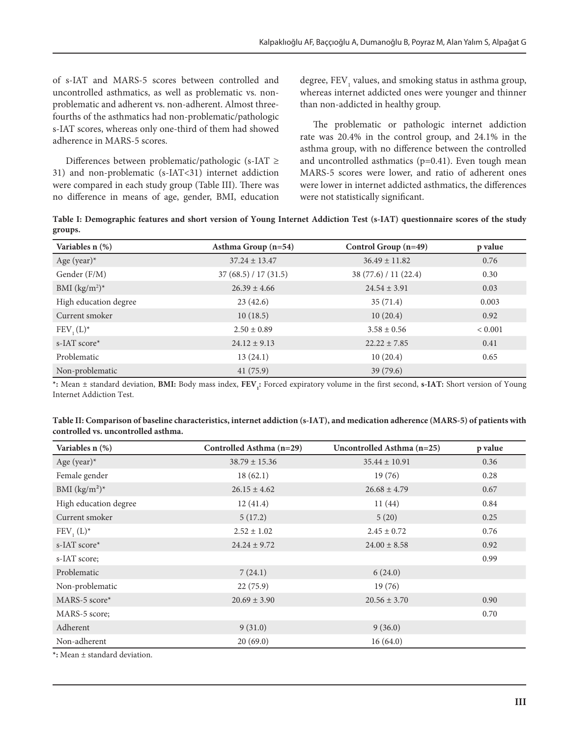of s-IAT and MARS-5 scores between controlled and uncontrolled asthmatics, as well as problematic vs. nonproblematic and adherent vs. non-adherent. Almost threefourths of the asthmatics had non-problematic/pathologic s-IAT scores, whereas only one-third of them had showed adherence in MARS-5 scores.

Differences between problematic/pathologic (s-IAT ≥ 31) and non-problematic (s-IAT<31) internet addiction were compared in each study group (Table III). There was no difference in means of age, gender, BMI, education

degree,  $\text{FEV}_1$  values, and smoking status in asthma group, whereas internet addicted ones were younger and thinner than non-addicted in healthy group.

The problematic or pathologic internet addiction rate was 20.4% in the control group, and 24.1% in the asthma group, with no difference between the controlled and uncontrolled asthmatics  $(p=0.41)$ . Even tough mean MARS-5 scores were lower, and ratio of adherent ones were lower in internet addicted asthmatics, the differences were not statistically significant.

**Table I: Demographic features and short version of Young Internet Addiction Test (s-IAT) questionnaire scores of the study groups.**

| Variables n (%)       | Asthma Group $(n=54)$ | Control Group $(n=49)$ | p value     |
|-----------------------|-----------------------|------------------------|-------------|
| Age (year) $*$        | $37.24 \pm 13.47$     | $36.49 \pm 11.82$      | 0.76        |
| Gender (F/M)          | 37(68.5) / 17(31.5)   | 38 (77.6) / 11 (22.4)  | 0.30        |
| BMI $(kg/m^2)^*$      | $26.39 \pm 4.66$      | $24.54 \pm 3.91$       | 0.03        |
| High education degree | 23(42.6)              | 35(71.4)               | 0.003       |
| Current smoker        | 10(18.5)              | 10(20.4)               | 0.92        |
| $FEV, (L)^*$          | $2.50 \pm 0.89$       | $3.58 \pm 0.56$        | ${}< 0.001$ |
| s-IAT score*          | $24.12 \pm 9.13$      | $22.22 \pm 7.85$       | 0.41        |
| Problematic           | 13(24.1)              | 10(20.4)               | 0.65        |
| Non-problematic       | 41(75.9)              | 39(79.6)               |             |

\*: Mean ± standard deviation, **BMI:** Body mass index,  $\text{FEV}_i$ : Forced expiratory volume in the first second, **s-IAT:** Short version of Young Internet Addiction Test.

| Table II: Comparison of baseline characteristics, internet addiction (s-IAT), and medication adherence (MARS-5) of patients with |  |
|----------------------------------------------------------------------------------------------------------------------------------|--|
| controlled vs. uncontrolled asthma.                                                                                              |  |

| Variables n (%)                                                                                                                                                                      | Controlled Asthma (n=29) | Uncontrolled Asthma (n=25) | p value |
|--------------------------------------------------------------------------------------------------------------------------------------------------------------------------------------|--------------------------|----------------------------|---------|
| Age (year) $*$                                                                                                                                                                       | $38.79 \pm 15.36$        | $35.44 \pm 10.91$          | 0.36    |
| Female gender                                                                                                                                                                        | 18(62.1)                 | 19(76)                     | 0.28    |
| BMI $(kg/m^2)^*$                                                                                                                                                                     | $26.15 \pm 4.62$         | $26.68 \pm 4.79$           | 0.67    |
| High education degree                                                                                                                                                                | 12(41.4)                 | 11(44)                     | 0.84    |
| Current smoker                                                                                                                                                                       | 5(17.2)                  | 5(20)                      | 0.25    |
| $FEV, (L)^*$                                                                                                                                                                         | $2.52 \pm 1.02$          | $2.45 \pm 0.72$            | 0.76    |
| s-IAT score*                                                                                                                                                                         | $24.24 \pm 9.72$         | $24.00 \pm 8.58$           | 0.92    |
| s-IAT score;                                                                                                                                                                         |                          |                            | 0.99    |
| Problematic                                                                                                                                                                          | 7(24.1)                  | 6(24.0)                    |         |
| Non-problematic                                                                                                                                                                      | 22(75.9)                 | 19(76)                     |         |
| MARS-5 score*                                                                                                                                                                        | $20.69 \pm 3.90$         | $20.56 \pm 3.70$           | 0.90    |
| MARS-5 score;                                                                                                                                                                        |                          |                            | 0.70    |
| Adherent                                                                                                                                                                             | 9(31.0)                  | 9(36.0)                    |         |
| Non-adherent<br>$\alpha$ and $\alpha$ and $\alpha$ and $\alpha$ and $\alpha$ and $\alpha$ and $\alpha$ and $\alpha$ and $\alpha$ and $\alpha$ and $\alpha$ and $\alpha$ and $\alpha$ | 20(69.0)                 | 16(64.0)                   |         |

**\*:** Mean ± standard deviation.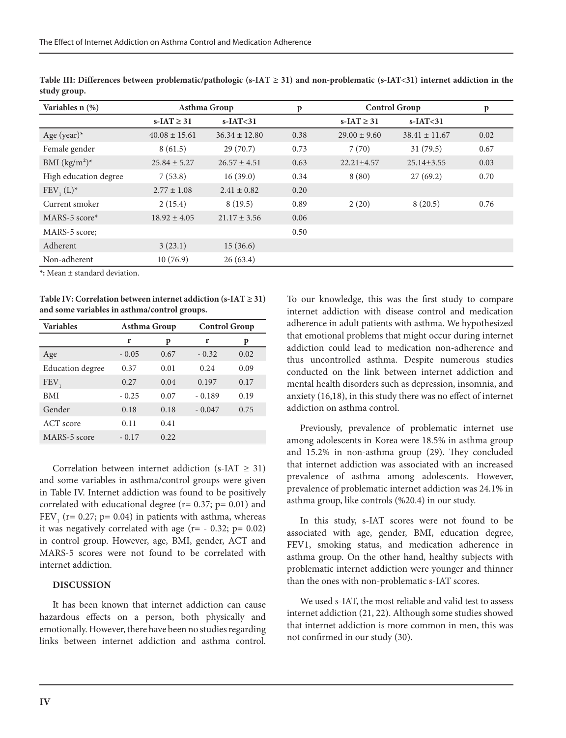| Variables $n$ $(\%)$  | Asthma Group       |                   | p    | <b>Control Group</b> | p                 |      |
|-----------------------|--------------------|-------------------|------|----------------------|-------------------|------|
|                       | $s$ -IAT $\geq$ 31 | $s$ -IAT $<$ 31   |      | s-IAT $\geq$ 31      | $s$ -IAT $<$ 31   |      |
| Age (year) $*$        | $40.08 \pm 15.61$  | $36.34 \pm 12.80$ | 0.38 | $29.00 \pm 9.60$     | $38.41 \pm 11.67$ | 0.02 |
| Female gender         | 8(61.5)            | 29(70.7)          | 0.73 | 7(70)                | 31(79.5)          | 0.67 |
| BMI $(kg/m^2)^*$      | $25.84 \pm 5.27$   | $26.57 \pm 4.51$  | 0.63 | $22.21 \pm 4.57$     | $25.14 \pm 3.55$  | 0.03 |
| High education degree | 7(53.8)            | 16(39.0)          | 0.34 | 8(80)                | 27(69.2)          | 0.70 |
| FEV $(L)^*$           | $2.77 \pm 1.08$    | $2.41 \pm 0.82$   | 0.20 |                      |                   |      |
| Current smoker        | 2(15.4)            | 8(19.5)           | 0.89 | 2(20)                | 8(20.5)           | 0.76 |
| $MARS-5 score*$       | $18.92 \pm 4.05$   | $21.17 \pm 3.56$  | 0.06 |                      |                   |      |
| MARS-5 score;         |                    |                   | 0.50 |                      |                   |      |
| Adherent              | 3(23.1)            | 15(36.6)          |      |                      |                   |      |
| Non-adherent          | 10(76.9)           | 26(63.4)          |      |                      |                   |      |

**Table III: Differences between problematic/pathologic (s-IAT ≥ 31) and non-problematic (s-IAT<31) internet addiction in the study group.**

**\*:** Mean ± standard deviation.

**Table IV: Correlation between internet addiction (s-IAT ≥ 31) and some variables in asthma/control groups.**

| <b>Variables</b>        | Asthma Group |      | <b>Control Group</b> |      |
|-------------------------|--------------|------|----------------------|------|
|                         | r            | p    | r                    | p    |
| Age                     | $-0.05$      | 0.67 | $-0.32$              | 0.02 |
| <b>Education</b> degree | 0.37         | 0.01 | 0.24                 | 0.09 |
| <b>FEV</b>              | 0.27         | 0.04 | 0.197                | 0.17 |
| BMI                     | $-0.25$      | 0.07 | $-0.189$             | 0.19 |
| Gender                  | 0.18         | 0.18 | $-0.047$             | 0.75 |
| ACT score               | 0.11         | 0.41 |                      |      |
| MARS-5 score            | $-0.17$      | 0.22 |                      |      |

Correlation between internet addiction (s-IAT  $\geq$  31) and some variables in asthma/control groups were given in Table IV. Internet addiction was found to be positively correlated with educational degree ( $r= 0.37$ ;  $p= 0.01$ ) and  $FEV<sub>1</sub>$  (r= 0.27; p= 0.04) in patients with asthma, whereas it was negatively correlated with age  $(r = -0.32; p = 0.02)$ in control group. However, age, BMI, gender, ACT and MARS-5 scores were not found to be correlated with internet addiction.

#### **DISCUSSION**

It has been known that internet addiction can cause hazardous effects on a person, both physically and emotionally. However, there have been no studies regarding links between internet addiction and asthma control.

To our knowledge, this was the first study to compare internet addiction with disease control and medication adherence in adult patients with asthma. We hypothesized that emotional problems that might occur during internet addiction could lead to medication non-adherence and thus uncontrolled asthma. Despite numerous studies conducted on the link between internet addiction and mental health disorders such as depression, insomnia, and anxiety (16,18), in this study there was no effect of internet addiction on asthma control.

Previously, prevalence of problematic internet use among adolescents in Korea were 18.5% in asthma group and 15.2% in non-asthma group (29). They concluded that internet addiction was associated with an increased prevalence of asthma among adolescents. However, prevalence of problematic internet addiction was 24.1% in asthma group, like controls (%20.4) in our study.

In this study, s-IAT scores were not found to be associated with age, gender, BMI, education degree, FEV1, smoking status, and medication adherence in asthma group. On the other hand, healthy subjects with problematic internet addiction were younger and thinner than the ones with non-problematic s-IAT scores.

We used s-IAT, the most reliable and valid test to assess internet addiction (21, 22). Although some studies showed that internet addiction is more common in men, this was not confirmed in our study (30).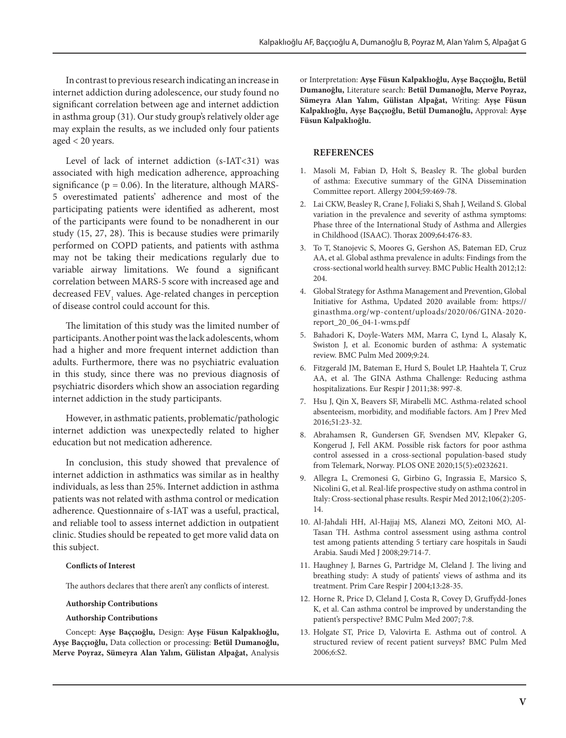In contrast to previous research indicating an increase in internet addiction during adolescence, our study found no significant correlation between age and internet addiction in asthma group (31). Our study group's relatively older age may explain the results, as we included only four patients aged < 20 years.

Level of lack of internet addiction (s-IAT<31) was associated with high medication adherence, approaching significance ( $p = 0.06$ ). In the literature, although MARS-5 overestimated patients' adherence and most of the participating patients were identified as adherent, most of the participants were found to be nonadherent in our study (15, 27, 28). This is because studies were primarily performed on COPD patients, and patients with asthma may not be taking their medications regularly due to variable airway limitations. We found a significant correlation between MARS-5 score with increased age and decreased FEV<sub>1</sub> values. Age-related changes in perception of disease control could account for this.

The limitation of this study was the limited number of participants. Another point was the lack adolescents, whom had a higher and more frequent internet addiction than adults. Furthermore, there was no psychiatric evaluation in this study, since there was no previous diagnosis of psychiatric disorders which show an association regarding internet addiction in the study participants.

However, in asthmatic patients, problematic/pathologic internet addiction was unexpectedly related to higher education but not medication adherence.

In conclusion, this study showed that prevalence of internet addiction in asthmatics was similar as in healthy individuals, as less than 25%. Internet addiction in asthma patients was not related with asthma control or medication adherence. Questionnaire of s-IAT was a useful, practical, and reliable tool to assess internet addiction in outpatient clinic. Studies should be repeated to get more valid data on this subject.

### **Conflicts of Interest**

The authors declares that there aren't any conflicts of interest.

#### **Authorship Contributions**

#### **Authorship Contributions**

Concept: **Ayşe Baççıoğlu,** Design: **Ayşe Füsun Kalpaklıoğlu, Ayşe Baççıoğlu,** Data collection or processing: **Betül Dumanoğlu, Merve Poyraz, Sümeyra Alan Yalım, Gülistan Alpağat,** Analysis or Interpretation: **Ayşe Füsun Kalpaklıoğlu, Ayşe Baççıoğlu, Betül Dumanoğlu,** Literature search: **Betül Dumanoğlu, Merve Poyraz, Sümeyra Alan Yalım, Gülistan Alpağat,** Writing: **Ayşe Füsun Kalpaklıoğlu, Ayşe Baççıoğlu, Betül Dumanoğlu,** Approval: **Ayşe Füsun Kalpaklıoğlu.**

## **REFERENCES**

- 1. Masoli M, Fabian D, Holt S, Beasley R. The global burden of asthma: Executive summary of the GINA Dissemination Committee report. Allergy 2004;59:469-78.
- 2. Lai CKW, Beasley R, Crane J, Foliaki S, Shah J, Weiland S. Global variation in the prevalence and severity of asthma symptoms: Phase three of the International Study of Asthma and Allergies in Childhood (ISAAC). Thorax 2009;64:476-83.
- 3. To T, Stanojevic S, Moores G, Gershon AS, Bateman ED, Cruz AA, et al. Global asthma prevalence in adults: Findings from the cross-sectional world health survey. BMC Public Health 2012;12: 204.
- 4. Global Strategy for Asthma Management and Prevention, Global Initiative for Asthma, Updated 2020 available from: https:// ginasthma.org/wp-content/uploads/2020/06/GINA-2020 report\_20\_06\_04-1-wms.pdf
- 5. Bahadori K, Doyle-Waters MM, Marra C, Lynd L, Alasaly K, Swiston J, et al. Economic burden of asthma: A systematic review. BMC Pulm Med 2009;9:24.
- 6. Fitzgerald JM, Bateman E, Hurd S, Boulet LP, Haahtela T, Cruz AA, et al. The GINA Asthma Challenge: Reducing asthma hospitalizations. Eur Respir J 2011;38: 997-8.
- 7. Hsu J, Qin X, Beavers SF, Mirabelli MC. Asthma-related school absenteeism, morbidity, and modifiable factors. Am J Prev Med 2016;51:23-32.
- 8. Abrahamsen R, Gundersen GF, Svendsen MV, Klepaker G, Kongerud J, Fell AKM. Possible risk factors for poor asthma control assessed in a cross-sectional population-based study from Telemark, Norway. PLOS ONE 2020;15(5):e0232621.
- 9. Allegra L, Cremonesi G, Girbino G, Ingrassia E, Marsico S, Nicolini G, et al. Real-life prospective study on asthma control in Italy: Cross-sectional phase results. Respir Med 2012;106(2):205- 14.
- 10. Al-Jahdali HH, Al-Hajjaj MS, Alanezi MO, Zeitoni MO, Al-Tasan TH. Asthma control assessment using asthma control test among patients attending 5 tertiary care hospitals in Saudi Arabia. Saudi Med J 2008;29:714-7.
- 11. Haughney J, Barnes G, Partridge M, Cleland J. The living and breathing study: A study of patients' views of asthma and its treatment. Prim Care Respir J 2004;13:28-35.
- 12. Horne R, Price D, Cleland J, Costa R, Covey D, Gruffydd-Jones K, et al. Can asthma control be improved by understanding the patient's perspective? BMC Pulm Med 2007; 7:8.
- 13. Holgate ST, Price D, Valovirta E. Asthma out of control. A structured review of recent patient surveys? BMC Pulm Med 2006;6:S2.